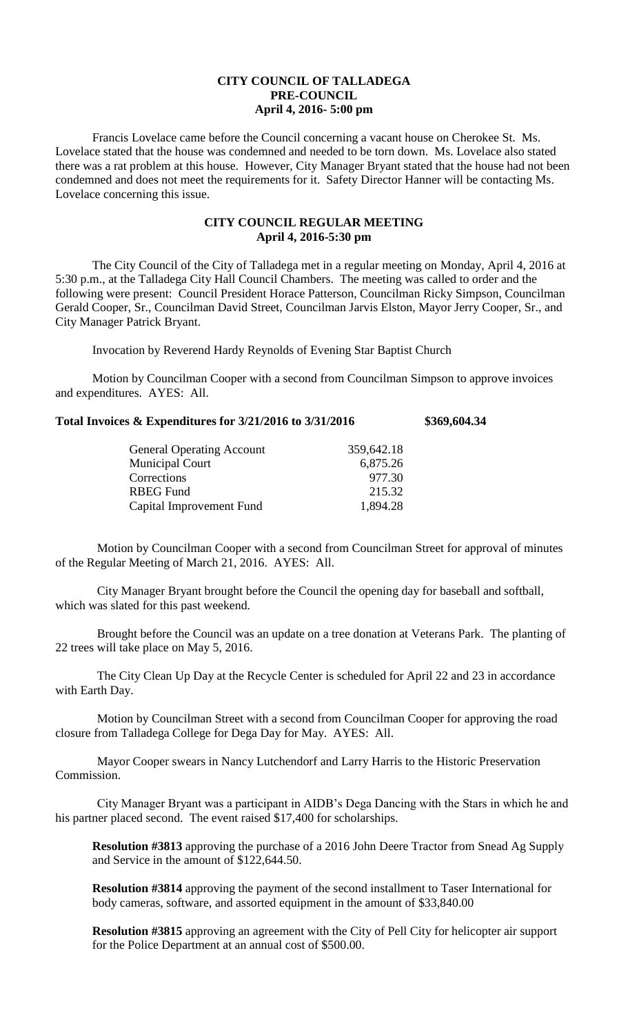## **CITY COUNCIL OF TALLADEGA PRE-COUNCIL April 4, 2016- 5:00 pm**

Francis Lovelace came before the Council concerning a vacant house on Cherokee St. Ms. Lovelace stated that the house was condemned and needed to be torn down. Ms. Lovelace also stated there was a rat problem at this house. However, City Manager Bryant stated that the house had not been condemned and does not meet the requirements for it. Safety Director Hanner will be contacting Ms. Lovelace concerning this issue.

## **CITY COUNCIL REGULAR MEETING April 4, 2016-5:30 pm**

The City Council of the City of Talladega met in a regular meeting on Monday, April 4, 2016 at 5:30 p.m., at the Talladega City Hall Council Chambers. The meeting was called to order and the following were present: Council President Horace Patterson, Councilman Ricky Simpson, Councilman Gerald Cooper, Sr., Councilman David Street, Councilman Jarvis Elston, Mayor Jerry Cooper, Sr., and City Manager Patrick Bryant.

Invocation by Reverend Hardy Reynolds of Evening Star Baptist Church

Motion by Councilman Cooper with a second from Councilman Simpson to approve invoices and expenditures. AYES: All.

## **Total Invoices & Expenditures for 3/21/2016 to 3/31/2016 \$369,604.34**

| <b>General Operating Account</b> | 359,642.18 |
|----------------------------------|------------|
| <b>Municipal Court</b>           | 6,875.26   |
| Corrections                      | 977.30     |
| RBEG Fund                        | 215.32     |
| Capital Improvement Fund         | 1,894.28   |

Motion by Councilman Cooper with a second from Councilman Street for approval of minutes of the Regular Meeting of March 21, 2016. AYES: All.

City Manager Bryant brought before the Council the opening day for baseball and softball, which was slated for this past weekend.

Brought before the Council was an update on a tree donation at Veterans Park. The planting of 22 trees will take place on May 5, 2016.

The City Clean Up Day at the Recycle Center is scheduled for April 22 and 23 in accordance with Earth Day.

Motion by Councilman Street with a second from Councilman Cooper for approving the road closure from Talladega College for Dega Day for May. AYES: All.

Mayor Cooper swears in Nancy Lutchendorf and Larry Harris to the Historic Preservation Commission.

City Manager Bryant was a participant in AIDB's Dega Dancing with the Stars in which he and his partner placed second. The event raised \$17,400 for scholarships.

**Resolution #3813** approving the purchase of a 2016 John Deere Tractor from Snead Ag Supply and Service in the amount of \$122,644.50.

**Resolution #3814** approving the payment of the second installment to Taser International for body cameras, software, and assorted equipment in the amount of \$33,840.00

**Resolution #3815** approving an agreement with the City of Pell City for helicopter air support for the Police Department at an annual cost of \$500.00.